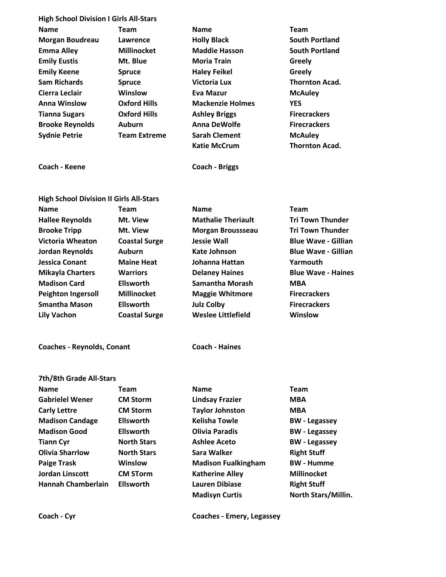| <b>High School Division I Girls All-Stars</b>  |                      |                            |                            |  |  |
|------------------------------------------------|----------------------|----------------------------|----------------------------|--|--|
| <b>Name</b>                                    | <b>Team</b>          | <b>Name</b>                | Team                       |  |  |
| <b>Morgan Boudreau</b>                         | Lawrence             | <b>Holly Black</b>         | <b>South Portland</b>      |  |  |
| <b>Emma Alley</b>                              | <b>Millinocket</b>   | <b>Maddie Hasson</b>       | <b>South Portland</b>      |  |  |
| <b>Emily Eustis</b>                            | Mt. Blue             | <b>Moria Train</b>         | Greely                     |  |  |
| <b>Emily Keene</b>                             | <b>Spruce</b>        | <b>Haley Feikel</b>        | Greely                     |  |  |
| <b>Sam Richards</b>                            | <b>Spruce</b>        | <b>Victoria Lux</b>        | <b>Thornton Acad.</b>      |  |  |
| Cierra Leclair                                 | Winslow              | <b>Eva Mazur</b>           | <b>McAuley</b>             |  |  |
| <b>Anna Winslow</b>                            | <b>Oxford Hills</b>  | <b>Mackenzie Holmes</b>    | <b>YES</b>                 |  |  |
| <b>Tianna Sugars</b>                           | <b>Oxford Hills</b>  | <b>Ashley Briggs</b>       | <b>Firecrackers</b>        |  |  |
| <b>Brooke Reynolds</b>                         | Auburn               | <b>Anna DeWolfe</b>        | <b>Firecrackers</b>        |  |  |
| <b>Sydnie Petrie</b>                           | <b>Team Extreme</b>  | <b>Sarah Clement</b>       | <b>McAuley</b>             |  |  |
|                                                |                      | <b>Katie McCrum</b>        | <b>Thornton Acad.</b>      |  |  |
| Coach - Keene                                  |                      | <b>Coach - Briggs</b>      |                            |  |  |
| <b>High School Division II Girls All-Stars</b> |                      |                            |                            |  |  |
| <b>Name</b>                                    | <b>Team</b>          | <b>Name</b>                | <b>Team</b>                |  |  |
| <b>Hallee Reynolds</b>                         | Mt. View             | <b>Mathalie Theriault</b>  | <b>Tri Town Thunder</b>    |  |  |
| <b>Brooke Tripp</b>                            | Mt. View             | Morgan Broussseau          | <b>Tri Town Thunder</b>    |  |  |
| <b>Victoria Wheaton</b>                        | <b>Coastal Surge</b> | <b>Jessie Wall</b>         | <b>Blue Wave - Gillian</b> |  |  |
| Jordan Reynolds                                | <b>Auburn</b>        | Kate Johnson               | <b>Blue Wave - Gillian</b> |  |  |
| <b>Jessica Conant</b>                          | <b>Maine Heat</b>    | Johanna Hattan             | Yarmouth                   |  |  |
| <b>Mikayla Charters</b>                        | <b>Warriors</b>      | <b>Delaney Haines</b>      | <b>Blue Wave - Haines</b>  |  |  |
| <b>Madison Card</b>                            | <b>Ellsworth</b>     | Samantha Morash            | <b>MBA</b>                 |  |  |
| <b>Peighton Ingersoll</b>                      | <b>Millinocket</b>   | <b>Maggie Whitmore</b>     | <b>Firecrackers</b>        |  |  |
| <b>Smantha Mason</b>                           | <b>Ellsworth</b>     | <b>Julz Colby</b>          | <b>Firecrackers</b>        |  |  |
| <b>Lily Vachon</b>                             | <b>Coastal Surge</b> | Weslee Littlefield         | Winslow                    |  |  |
| <b>Coaches - Reynolds, Conant</b>              |                      | <b>Coach - Haines</b>      |                            |  |  |
| 7th/8th Grade All-Stars                        |                      |                            |                            |  |  |
| <b>Name</b>                                    | Team                 | <b>Name</b>                | <b>Team</b>                |  |  |
| <b>Gabrielel Wener</b>                         | <b>CM Storm</b>      | <b>Lindsay Frazier</b>     | <b>MBA</b>                 |  |  |
| <b>Carly Lettre</b>                            | <b>CM Storm</b>      | <b>Taylor Johnston</b>     | <b>MBA</b>                 |  |  |
| <b>Madison Candage</b>                         | <b>Ellsworth</b>     | <b>Kelisha Towle</b>       | <b>BW</b> - Legassey       |  |  |
| <b>Madison Good</b>                            | <b>Ellsworth</b>     | <b>Olivia Paradis</b>      | <b>BW</b> - Legassey       |  |  |
| <b>Tiann Cyr</b>                               | <b>North Stars</b>   | <b>Ashlee Aceto</b>        | <b>BW</b> - Legassey       |  |  |
| <b>Olivia Sharrlow</b>                         | <b>North Stars</b>   | Sara Walker                | <b>Right Stuff</b>         |  |  |
| <b>Paige Trask</b>                             | Winslow              | <b>Madison Fualkingham</b> | <b>BW</b> - Humme          |  |  |
| <b>Jordan Linscott</b>                         | <b>CM STorm</b>      | <b>Katherine Alley</b>     | <b>Millinocket</b>         |  |  |
| <b>Hannah Chamberlain</b>                      | <b>Ellsworth</b>     | <b>Lauren Dibiase</b>      | <b>Right Stuff</b>         |  |  |
|                                                |                      | <b>Madisyn Curtis</b>      | North Stars/Millin.        |  |  |
|                                                |                      |                            |                            |  |  |
| Coach - Cyr                                    |                      | Coaches - Emery, Legassey  |                            |  |  |